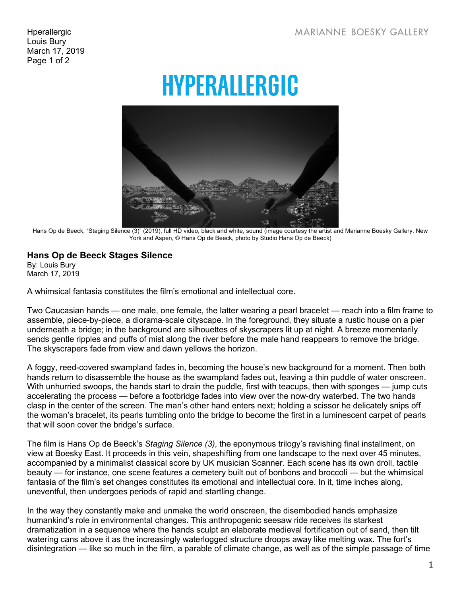**Hperallergic** Louis Bury March 17, 2019 Page 1 of 2

## **HYPERALLERGIC**



Hans Op de Beeck, "Staging Silence (3)" (2019), full HD video, black and white, sound (image courtesy the artist and Marianne Boesky Gallery, New York and Aspen, © Hans Op de Beeck, photo by Studio Hans Op de Beeck)

## **Hans Op de Beeck Stages Silence**

By: Louis Bury March 17, 2019

A whimsical fantasia constitutes the film's emotional and intellectual core.

Two Caucasian hands — one male, one female, the latter wearing a pearl bracelet — reach into a film frame to assemble, piece-by-piece, a diorama-scale cityscape. In the foreground, they situate a rustic house on a pier underneath a bridge; in the background are silhouettes of skyscrapers lit up at night. A breeze momentarily sends gentle ripples and puffs of mist along the river before the male hand reappears to remove the bridge. The skyscrapers fade from view and dawn yellows the horizon.

A foggy, reed-covered swampland fades in, becoming the house's new background for a moment. Then both hands return to disassemble the house as the swampland fades out, leaving a thin puddle of water onscreen. With unhurried swoops, the hands start to drain the puddle, first with teacups, then with sponges — jump cuts accelerating the process — before a footbridge fades into view over the now-dry waterbed. The two hands clasp in the center of the screen. The man's other hand enters next; holding a scissor he delicately snips off the woman's bracelet, its pearls tumbling onto the bridge to become the first in a luminescent carpet of pearls that will soon cover the bridge's surface.

The film is Hans Op de Beeck's *Staging Silence (3)*, the eponymous trilogy's ravishing final installment, on view at Boesky East. It proceeds in this vein, shapeshifting from one landscape to the next over 45 minutes, accompanied by a minimalist classical score by UK musician Scanner. Each scene has its own droll, tactile beauty — for instance, one scene features a cemetery built out of bonbons and broccoli — but the whimsical fantasia of the film's set changes constitutes its emotional and intellectual core. In it, time inches along, uneventful, then undergoes periods of rapid and startling change.

In the way they constantly make and unmake the world onscreen, the disembodied hands emphasize humankind's role in environmental changes. This anthropogenic seesaw ride receives its starkest dramatization in a sequence where the hands sculpt an elaborate medieval fortification out of sand, then tilt watering cans above it as the increasingly waterlogged structure droops away like melting wax. The fort's disintegration — like so much in the film, a parable of climate change, as well as of the simple passage of time